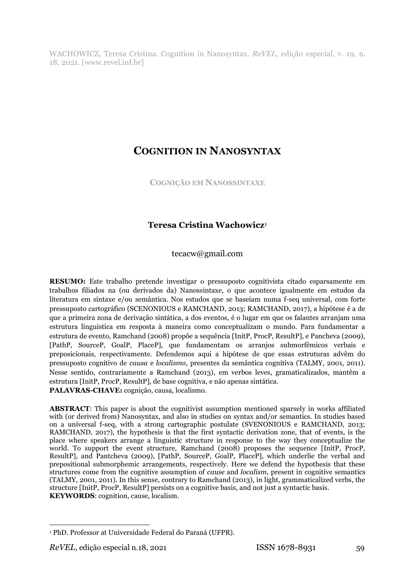WACHOWICZ, Teresa Cristina. Cognition in Nanosyntax. *ReVEL*, edição especial, v. 19, n. 18, 2021. [www.revel.inf.br]

# **COGNITION IN NANOSYNTAX**

**COGNIÇÃO EM NANOSSINTAXE**

# **Teresa Cristina Wachowicz**<sup>1</sup>

tecacw@gmail.com

**RESUMO:** Este trabalho pretende investigar o pressuposto cognitivista citado esparsamente em trabalhos filiados na (ou derivados da) Nanossintaxe, o que acontece igualmente em estudos da literatura em sintaxe e/ou semântica. Nos estudos que se baseiam numa f-seq universal, com forte pressuposto cartográfico (SCENONIOUS e RAMCHAND, 2013; RAMCHAND, 2017), a hipótese é a de que a primeira zona de derivação sintática, a dos eventos, é o lugar em que os falantes arranjam uma estrutura linguística em resposta à maneira como conceptualizam o mundo. Para fundamentar a estrutura de evento, Ramchand (2008) propõe a sequência [InitP, ProcP, ResultP], e Pancheva (2009), [PathP, SourceP, GoalP, PlaceP], que fundamentam os arranjos submorfêmicos verbais e preposicionais, respectivamente. Defendemos aqui a hipótese de que essas estruturas advêm do pressuposto cognitivo de *causa* e *localismo*, presentes da semântica cognitiva (TALMY, 2001, 2011). Nesse sentido, contrariamente a Ramchand (2013), em verbos leves, gramaticalizados, mantêm a estrutura [InitP, ProcP, ResultP], de base cognitiva, e não apenas sintática. **PALAVRAS-CHAVE:** cognição, causa, localismo.

**ABSTRACT**: This paper is about the cognitivist assumption mentioned sparsely in works affiliated with (or derived from) Nanosyntax, and also in studies on syntax and/or semantics. In studies based on a universal f-seq, with a strong cartographic postulate (SVENONIOUS e RAMCHAND, 2013; RAMCHAND, 2017), the hypothesis is that the first syntactic derivation zone, that of events, is the place where speakers arrange a linguistic structure in response to the way they conceptualize the world. To support the event structure, Ramchand (2008) proposes the sequence [InitP, ProcP, ResultP], and Pantcheva (2009), [PathP, SourceP, GoalP, PlaceP], which underlie the verbal and prepositional submorphemic arrangements, respectively. Here we defend the hypothesis that these structures come from the cognitive assumption of *cause* and *localism*, present in cognitive semantics (TALMY, 2001, 2011). In this sense, contrary to Ramchand (2013), in light, grammaticalized verbs, the structure [InitP, ProcP, ResultP] persists on a cognitive basis, and not just a syntactic basis. **KEYWORDS**: cognition, cause, localism.

 $\overline{\phantom{a}}$ <sup>1</sup> PhD. Professor at Universidade Federal do Paraná (UFPR).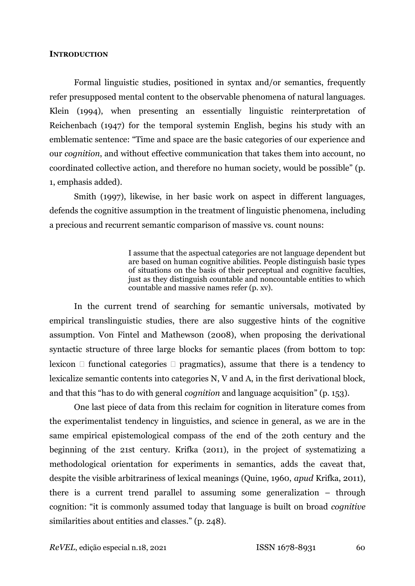#### **INTRODUCTION**

Formal linguistic studies, positioned in syntax and/or semantics, frequently refer presupposed mental content to the observable phenomena of natural languages. Klein (1994), when presenting an essentially linguistic reinterpretation of Reichenbach (1947) for the temporal systemin English, begins his study with an emblematic sentence: "Time and space are the basic categories of our experience and our *cognition*, and without effective communication that takes them into account, no coordinated collective action, and therefore no human society, would be possible" (p. 1, emphasis added).

Smith (1997), likewise, in her basic work on aspect in different languages, defends the cognitive assumption in the treatment of linguistic phenomena, including a precious and recurrent semantic comparison of massive vs. count nouns:

> I assume that the aspectual categories are not language dependent but are based on human cognitive abilities. People distinguish basic types of situations on the basis of their perceptual and cognitive faculties, just as they distinguish countable and noncountable entities to which countable and massive names refer (p. xv).

In the current trend of searching for semantic universals, motivated by empirical translinguistic studies, there are also suggestive hints of the cognitive assumption. Von Fintel and Mathewson (2008), when proposing the derivational syntactic structure of three large blocks for semantic places (from bottom to top: lexicon  $\Box$  functional categories  $\Box$  pragmatics), assume that there is a tendency to lexicalize semantic contents into categories N, V and A, in the first derivational block, and that this "has to do with general *cognition* and language acquisition" (p. 153).

One last piece of data from this reclaim for cognition in literature comes from the experimentalist tendency in linguistics, and science in general, as we are in the same empirical epistemological compass of the end of the 20th century and the beginning of the 21st century. Krifka (2011), in the project of systematizing a methodological orientation for experiments in semantics, adds the caveat that, despite the visible arbitrariness of lexical meanings (Quine, 1960, *apud* Krifka, 2011), there is a current trend parallel to assuming some generalization – through cognition: "it is commonly assumed today that language is built on broad *cognitive* similarities about entities and classes." (p. 248).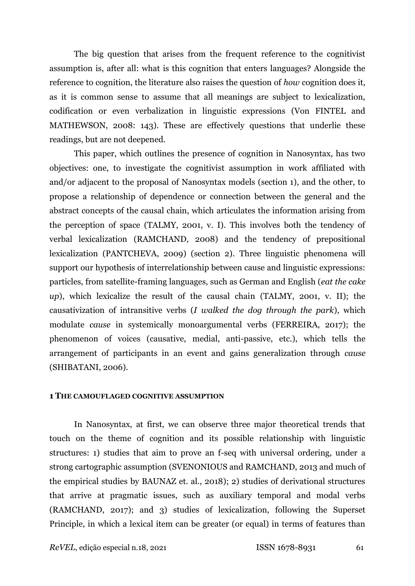The big question that arises from the frequent reference to the cognitivist assumption is, after all: what is this cognition that enters languages? Alongside the reference to cognition, the literature also raises the question of *how* cognition does it, as it is common sense to assume that all meanings are subject to lexicalization, codification or even verbalization in linguistic expressions (Von FINTEL and MATHEWSON, 2008: 143). These are effectively questions that underlie these readings, but are not deepened.

This paper, which outlines the presence of cognition in Nanosyntax, has two objectives: one, to investigate the cognitivist assumption in work affiliated with and/or adjacent to the proposal of Nanosyntax models (section 1), and the other, to propose a relationship of dependence or connection between the general and the abstract concepts of the causal chain, which articulates the information arising from the perception of space (TALMY, 2001, v. I). This involves both the tendency of verbal lexicalization (RAMCHAND, 2008) and the tendency of prepositional lexicalization (PANTCHEVA, 2009) (section 2). Three linguistic phenomena will support our hypothesis of interrelationship between cause and linguistic expressions: particles, from satellite-framing languages, such as German and English (*eat the cake up*), which lexicalize the result of the causal chain (TALMY, 2001, v. II); the causativization of intransitive verbs (*I walked the dog through the park*), which modulate *cause* in systemically monoargumental verbs (FERREIRA, 2017); the phenomenon of voices (causative, medial, anti-passive, etc.), which tells the arrangement of participants in an event and gains generalization through *cause* (SHIBATANI, 2006).

#### **1 THE CAMOUFLAGED COGNITIVE ASSUMPTION**

In Nanosyntax, at first, we can observe three major theoretical trends that touch on the theme of cognition and its possible relationship with linguistic structures: 1) studies that aim to prove an f-seq with universal ordering, under a strong cartographic assumption (SVENONIOUS and RAMCHAND, 2013 and much of the empirical studies by BAUNAZ et. al., 2018); 2) studies of derivational structures that arrive at pragmatic issues, such as auxiliary temporal and modal verbs (RAMCHAND, 2017); and 3) studies of lexicalization, following the Superset Principle, in which a lexical item can be greater (or equal) in terms of features than

*ReVEL*, edição especial n.18, 2021 ISSN 1678-8931 61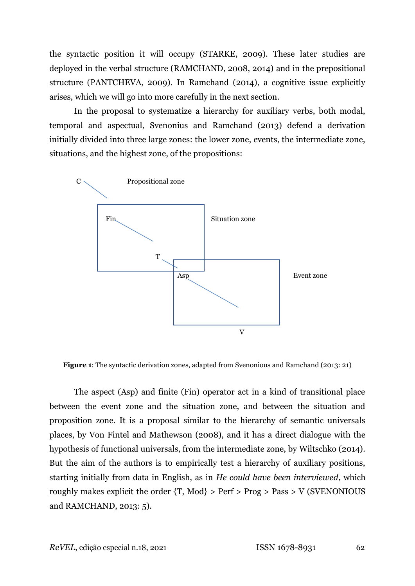the syntactic position it will occupy (STARKE, 2009). These later studies are deployed in the verbal structure (RAMCHAND, 2008, 2014) and in the prepositional structure (PANTCHEVA, 2009). In Ramchand (2014), a cognitive issue explicitly arises, which we will go into more carefully in the next section.

In the proposal to systematize a hierarchy for auxiliary verbs, both modal, temporal and aspectual, Svenonius and Ramchand (2013) defend a derivation initially divided into three large zones: the lower zone, events, the intermediate zone, situations, and the highest zone, of the propositions:



**Figure 1**: The syntactic derivation zones, adapted from Svenonious and Ramchand (2013: 21)

The aspect (Asp) and finite (Fin) operator act in a kind of transitional place between the event zone and the situation zone, and between the situation and proposition zone. It is a proposal similar to the hierarchy of semantic universals places, by Von Fintel and Mathewson (2008), and it has a direct dialogue with the hypothesis of functional universals, from the intermediate zone, by Wiltschko (2014). But the aim of the authors is to empirically test a hierarchy of auxiliary positions, starting initially from data in English, as in *He could have been interviewed*, which roughly makes explicit the order  $\{T, Mod\}$  > Perf > Prog > Pass > V (SVENONIOUS) and RAMCHAND, 2013: 5).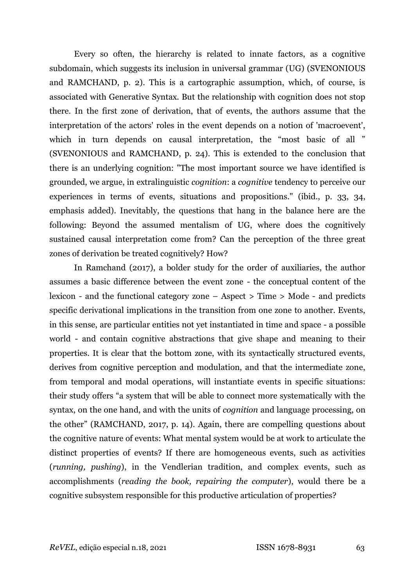Every so often, the hierarchy is related to innate factors, as a cognitive subdomain, which suggests its inclusion in universal grammar (UG) (SVENONIOUS and RAMCHAND, p. 2). This is a cartographic assumption, which, of course, is associated with Generative Syntax. But the relationship with cognition does not stop there. In the first zone of derivation, that of events, the authors assume that the interpretation of the actors' roles in the event depends on a notion of 'macroevent', which in turn depends on causal interpretation, the "most basic of all " (SVENONIOUS and RAMCHAND, p. 24). This is extended to the conclusion that there is an underlying cognition: "The most important source we have identified is grounded, we argue, in extralinguistic *cognition*: a *cognitive* tendency to perceive our experiences in terms of events, situations and propositions." (ibid., p. 33, 34, emphasis added). Inevitably, the questions that hang in the balance here are the following: Beyond the assumed mentalism of UG, where does the cognitively sustained causal interpretation come from? Can the perception of the three great zones of derivation be treated cognitively? How?

In Ramchand (2017), a bolder study for the order of auxiliaries, the author assumes a basic difference between the event zone - the conceptual content of the lexicon - and the functional category zone – Aspect > Time > Mode - and predicts specific derivational implications in the transition from one zone to another. Events, in this sense, are particular entities not yet instantiated in time and space - a possible world - and contain cognitive abstractions that give shape and meaning to their properties. It is clear that the bottom zone, with its syntactically structured events, derives from cognitive perception and modulation, and that the intermediate zone, from temporal and modal operations, will instantiate events in specific situations: their study offers "a system that will be able to connect more systematically with the syntax, on the one hand, and with the units of *cognition* and language processing, on the other" (RAMCHAND, 2017, p. 14). Again, there are compelling questions about the cognitive nature of events: What mental system would be at work to articulate the distinct properties of events? If there are homogeneous events, such as activities (*running, pushing*), in the Vendlerian tradition, and complex events, such as accomplishments (*reading the book, repairing the computer*), would there be a cognitive subsystem responsible for this productive articulation of properties?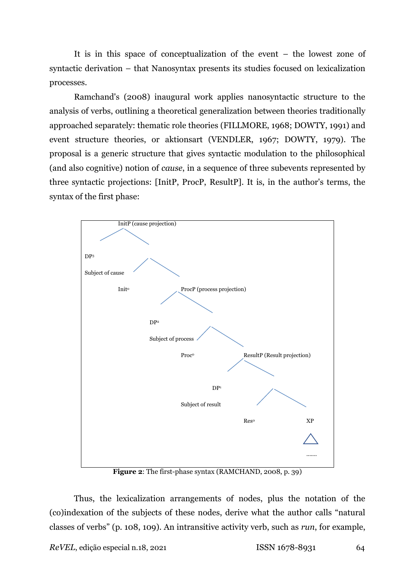It is in this space of conceptualization of the event – the lowest zone of syntactic derivation – that Nanosyntax presents its studies focused on lexicalization processes.

Ramchand's (2008) inaugural work applies nanosyntactic structure to the analysis of verbs, outlining a theoretical generalization between theories traditionally approached separately: thematic role theories (FILLMORE, 1968; DOWTY, 1991) and event structure theories, or aktionsart (VENDLER, 1967; DOWTY, 1979). The proposal is a generic structure that gives syntactic modulation to the philosophical (and also cognitive) notion of *cause*, in a sequence of three subevents represented by three syntactic projections: [InitP, ProcP, ResultP]. It is, in the author's terms, the syntax of the first phase:



**Figure 2**: The first-phase syntax (RAMCHAND, 2008, p. 39)

Thus, the lexicalization arrangements of nodes, plus the notation of the (co)indexation of the subjects of these nodes, derive what the author calls "natural classes of verbs" (p. 108, 109). An intransitive activity verb, such as *run*, for example,

*ReVEL*, edição especial n.18, 2021 ISSN 1678-8931 64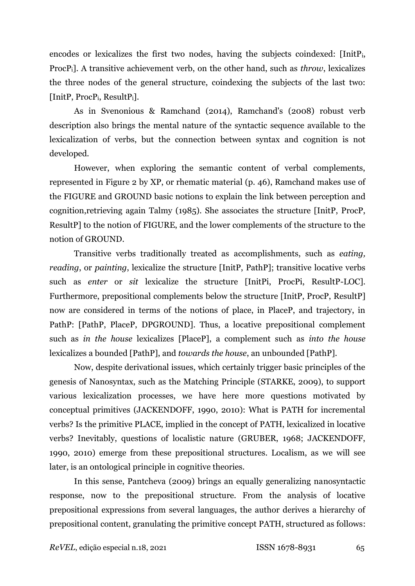encodes or lexicalizes the first two nodes, having the subjects coindexed: [InitPi, ProcPi]. A transitive achievement verb, on the other hand, such as *throw*, lexicalizes the three nodes of the general structure, coindexing the subjects of the last two: [InitP, ProcPi, ResultPi].

As in Svenonious & Ramchand (2014), Ramchand's (2008) robust verb description also brings the mental nature of the syntactic sequence available to the lexicalization of verbs, but the connection between syntax and cognition is not developed.

However, when exploring the semantic content of verbal complements, represented in Figure 2 by XP, or rhematic material (p. 46), Ramchand makes use of the FIGURE and GROUND basic notions to explain the link between perception and cognition,retrieving again Talmy (1985). She associates the structure [InitP, ProcP, ResultP] to the notion of FIGURE, and the lower complements of the structure to the notion of GROUND.

Transitive verbs traditionally treated as accomplishments, such as *eating, reading*, or *painting*, lexicalize the structure [InitP, PathP]; transitive locative verbs such as *enter* or *sit* lexicalize the structure [InitPi, ProcPi, ResultP-LOC]. Furthermore, prepositional complements below the structure [InitP, ProcP, ResultP] now are considered in terms of the notions of place, in PlaceP, and trajectory, in PathP: [PathP, PlaceP, DPGROUND]. Thus, a locative prepositional complement such as *in the house* lexicalizes [PlaceP], a complement such as *into the house* lexicalizes a bounded [PathP], and *towards the house*, an unbounded [PathP].

Now, despite derivational issues, which certainly trigger basic principles of the genesis of Nanosyntax, such as the Matching Principle (STARKE, 2009), to support various lexicalization processes, we have here more questions motivated by conceptual primitives (JACKENDOFF, 1990, 2010): What is PATH for incremental verbs? Is the primitive PLACE, implied in the concept of PATH, lexicalized in locative verbs? Inevitably, questions of localistic nature (GRUBER, 1968; JACKENDOFF, 1990, 2010) emerge from these prepositional structures. Localism, as we will see later, is an ontological principle in cognitive theories.

In this sense, Pantcheva (2009) brings an equally generalizing nanosyntactic response, now to the prepositional structure. From the analysis of locative prepositional expressions from several languages, the author derives a hierarchy of prepositional content, granulating the primitive concept PATH, structured as follows: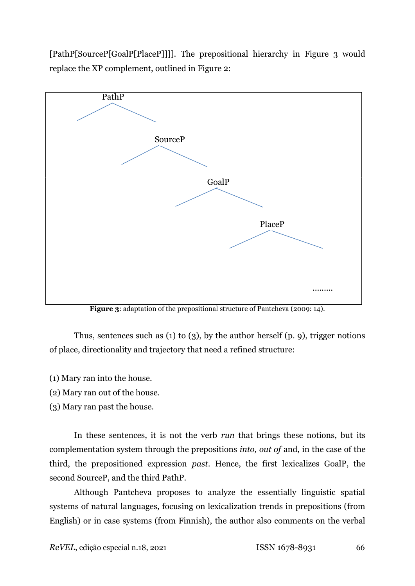[PathP[SourceP[GoalP[PlaceP]]]]. The prepositional hierarchy in Figure 3 would replace the XP complement, outlined in Figure 2:



**Figure 3:** adaptation of the prepositional structure of Pantcheva (2009: 14).

Thus, sentences such as (1) to (3), by the author herself (p. 9), trigger notions of place, directionality and trajectory that need a refined structure:

- (1) Mary ran into the house.
- (2) Mary ran out of the house.
- (3) Mary ran past the house.

In these sentences, it is not the verb *run* that brings these notions, but its complementation system through the prepositions *into, out of* and, in the case of the third, the prepositioned expression *past*. Hence, the first lexicalizes GoalP, the second SourceP, and the third PathP.

Although Pantcheva proposes to analyze the essentially linguistic spatial systems of natural languages, focusing on lexicalization trends in prepositions (from English) or in case systems (from Finnish), the author also comments on the verbal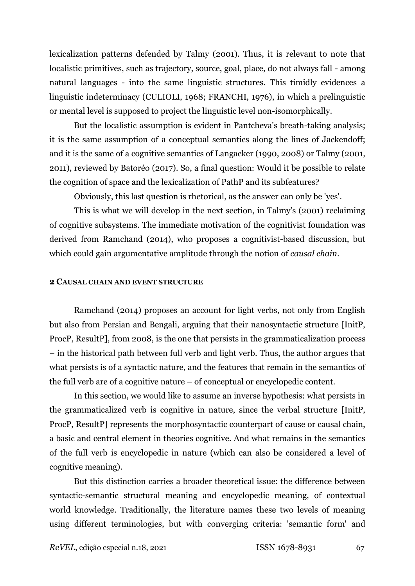lexicalization patterns defended by Talmy (2001). Thus, it is relevant to note that localistic primitives, such as trajectory, source, goal, place, do not always fall - among natural languages - into the same linguistic structures. This timidly evidences a linguistic indeterminacy (CULIOLI, 1968; FRANCHI, 1976), in which a prelinguistic or mental level is supposed to project the linguistic level non-isomorphically.

But the localistic assumption is evident in Pantcheva's breath-taking analysis; it is the same assumption of a conceptual semantics along the lines of Jackendoff; and it is the same of a cognitive semantics of Langacker (1990, 2008) or Talmy (2001, 2011), reviewed by Batoréo (2017). So, a final question: Would it be possible to relate the cognition of space and the lexicalization of PathP and its subfeatures?

Obviously, this last question is rhetorical, as the answer can only be 'yes'.

This is what we will develop in the next section, in Talmy's (2001) reclaiming of cognitive subsystems. The immediate motivation of the cognitivist foundation was derived from Ramchand (2014), who proposes a cognitivist-based discussion, but which could gain argumentative amplitude through the notion of *causal chain*.

### **2 CAUSAL CHAIN AND EVENT STRUCTURE**

Ramchand (2014) proposes an account for light verbs, not only from English but also from Persian and Bengali, arguing that their nanosyntactic structure [InitP, ProcP, ResultP], from 2008, is the one that persists in the grammaticalization process – in the historical path between full verb and light verb. Thus, the author argues that what persists is of a syntactic nature, and the features that remain in the semantics of the full verb are of a cognitive nature – of conceptual or encyclopedic content.

In this section, we would like to assume an inverse hypothesis: what persists in the grammaticalized verb is cognitive in nature, since the verbal structure [InitP, ProcP, ResultP] represents the morphosyntactic counterpart of cause or causal chain, a basic and central element in theories cognitive. And what remains in the semantics of the full verb is encyclopedic in nature (which can also be considered a level of cognitive meaning).

But this distinction carries a broader theoretical issue: the difference between syntactic-semantic structural meaning and encyclopedic meaning, of contextual world knowledge. Traditionally, the literature names these two levels of meaning using different terminologies, but with converging criteria: 'semantic form' and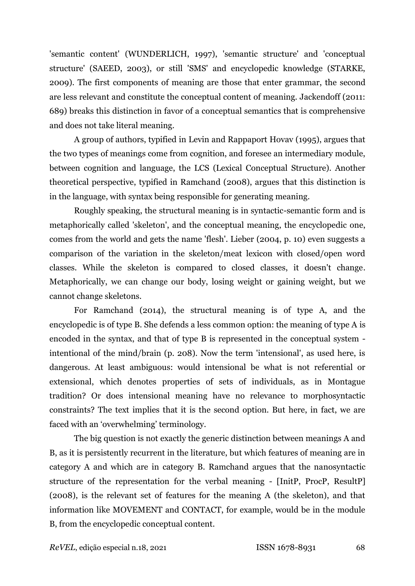'semantic content' (WUNDERLICH, 1997), 'semantic structure' and 'conceptual structure' (SAEED, 2003), or still 'SMS' and encyclopedic knowledge (STARKE, 2009). The first components of meaning are those that enter grammar, the second are less relevant and constitute the conceptual content of meaning. Jackendoff (2011: 689) breaks this distinction in favor of a conceptual semantics that is comprehensive and does not take literal meaning.

A group of authors, typified in Levin and Rappaport Hovav (1995), argues that the two types of meanings come from cognition, and foresee an intermediary module, between cognition and language, the LCS (Lexical Conceptual Structure). Another theoretical perspective, typified in Ramchand (2008), argues that this distinction is in the language, with syntax being responsible for generating meaning.

Roughly speaking, the structural meaning is in syntactic-semantic form and is metaphorically called 'skeleton', and the conceptual meaning, the encyclopedic one, comes from the world and gets the name 'flesh'. Lieber (2004, p. 10) even suggests a comparison of the variation in the skeleton/meat lexicon with closed/open word classes. While the skeleton is compared to closed classes, it doesn't change. Metaphorically, we can change our body, losing weight or gaining weight, but we cannot change skeletons.

For Ramchand (2014), the structural meaning is of type A, and the encyclopedic is of type B. She defends a less common option: the meaning of type A is encoded in the syntax, and that of type B is represented in the conceptual system intentional of the mind/brain (p. 208). Now the term 'intensional', as used here, is dangerous. At least ambiguous: would intensional be what is not referential or extensional, which denotes properties of sets of individuals, as in Montague tradition? Or does intensional meaning have no relevance to morphosyntactic constraints? The text implies that it is the second option. But here, in fact, we are faced with an 'overwhelming' terminology.

The big question is not exactly the generic distinction between meanings A and B, as it is persistently recurrent in the literature, but which features of meaning are in category A and which are in category B. Ramchand argues that the nanosyntactic structure of the representation for the verbal meaning - [InitP, ProcP, ResultP] (2008), is the relevant set of features for the meaning A (the skeleton), and that information like MOVEMENT and CONTACT, for example, would be in the module B, from the encyclopedic conceptual content.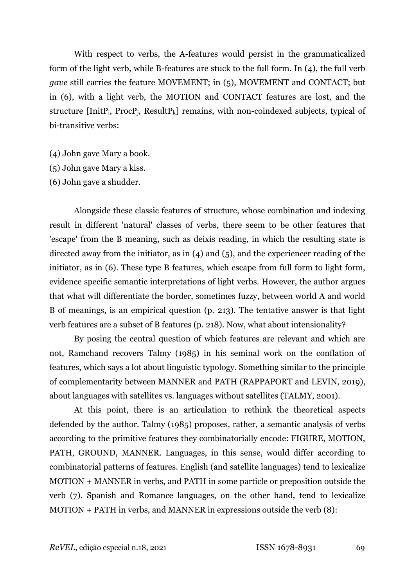With respect to verbs, the A-features would persist in the grammaticalized form of the light verb, while B-features are stuck to the full form. In (4), the full verb *gave* still carries the feature MOVEMENT; in (5), MOVEMENT and CONTACT; but in (6), with a light verb, the MOTION and CONTACT features are lost, and the structure [InitP<sub>i</sub>, ProcP<sub>i</sub>, ResultP<sub>k</sub>] remains, with non-coindexed subjects, typical of bi-transitive verbs:

- (4) John gave Mary a book.
- (5) John gave Mary a kiss.
- (6) John gave a shudder.

Alongside these classic features of structure, whose combination and indexing result in different 'natural' classes of verbs, there seem to be other features that 'escape' from the B meaning, such as deixis reading, in which the resulting state is directed away from the initiator, as in (4) and (5), and the experiencer reading of the initiator, as in (6). These type B features, which escape from full form to light form, evidence specific semantic interpretations of light verbs. However, the author argues that what will differentiate the border, sometimes fuzzy, between world A and world B of meanings, is an empirical question (p. 213). The tentative answer is that light verb features are a subset of B features (p. 218). Now, what about intensionality?

By posing the central question of which features are relevant and which are not, Ramchand recovers Talmy (1985) in his seminal work on the conflation of features, which says a lot about linguistic typology. Something similar to the principle of complementarity between MANNER and PATH (RAPPAPORT and LEVIN, 2019), about languages with satellites vs. languages without satellites (TALMY, 2001).

At this point, there is an articulation to rethink the theoretical aspects defended by the author. Talmy (1985) proposes, rather, a semantic analysis of verbs according to the primitive features they combinatorially encode: FIGURE, MOTION, PATH, GROUND, MANNER. Languages, in this sense, would differ according to combinatorial patterns of features. English (and satellite languages) tend to lexicalize MOTION + MANNER in verbs, and PATH in some particle or preposition outside the verb (7). Spanish and Romance languages, on the other hand, tend to lexicalize MOTION + PATH in verbs, and MANNER in expressions outside the verb (8):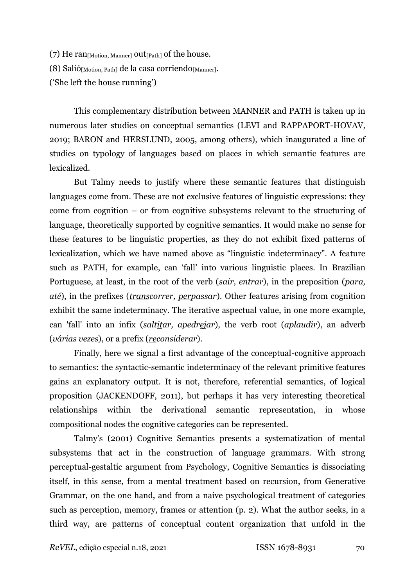(7) He ran $_{[Motion. \,Manner]}$  out $_{[Path]}$  of the house.

(8) Salió $_{[Motion, Path]}$  de la casa corriendo $_{[Manner]}$ .

('She left the house running')

This complementary distribution between MANNER and PATH is taken up in numerous later studies on conceptual semantics (LEVI and RAPPAPORT-HOVAV, 2019; BARON and HERSLUND, 2005, among others), which inaugurated a line of studies on typology of languages based on places in which semantic features are lexicalized.

But Talmy needs to justify where these semantic features that distinguish languages come from. These are not exclusive features of linguistic expressions: they come from cognition – or from cognitive subsystems relevant to the structuring of language, theoretically supported by cognitive semantics. It would make no sense for these features to be linguistic properties, as they do not exhibit fixed patterns of lexicalization, which we have named above as "linguistic indeterminacy". A feature such as PATH, for example, can 'fall' into various linguistic places. In Brazilian Portuguese, at least, in the root of the verb (*sair, entrar*), in the preposition (*para, até*), in the prefixes (*transcorrer, perpassar*). Other features arising from cognition exhibit the same indeterminacy. The iterative aspectual value, in one more example, can 'fall' into an infix (*saltitar, apedrejar*), the verb root (*aplaudir*), an adverb (*várias vezes*), or a prefix (*reconsiderar*).

Finally, here we signal a first advantage of the conceptual-cognitive approach to semantics: the syntactic-semantic indeterminacy of the relevant primitive features gains an explanatory output. It is not, therefore, referential semantics, of logical proposition (JACKENDOFF, 2011), but perhaps it has very interesting theoretical relationships within the derivational semantic representation, in whose compositional nodes the cognitive categories can be represented.

Talmy's (2001) Cognitive Semantics presents a systematization of mental subsystems that act in the construction of language grammars. With strong perceptual-gestaltic argument from Psychology, Cognitive Semantics is dissociating itself, in this sense, from a mental treatment based on recursion, from Generative Grammar, on the one hand, and from a naive psychological treatment of categories such as perception, memory, frames or attention (p. 2). What the author seeks, in a third way, are patterns of conceptual content organization that unfold in the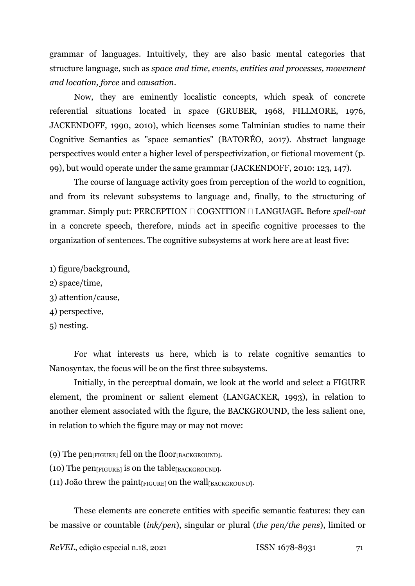grammar of languages. Intuitively, they are also basic mental categories that structure language, such as *space and time, events, entities and processes, movement and location, force* and *causation*.

Now, they are eminently localistic concepts, which speak of concrete referential situations located in space (GRUBER, 1968, FILLMORE, 1976, JACKENDOFF, 1990, 2010), which licenses some Talminian studies to name their Cognitive Semantics as "space semantics" (BATORÉO, 2017). Abstract language perspectives would enter a higher level of perspectivization, or fictional movement (p. 99), but would operate under the same grammar (JACKENDOFF, 2010: 123, 147).

The course of language activity goes from perception of the world to cognition, and from its relevant subsystems to language and, finally, to the structuring of grammar. Simply put: PERCEPTION COGNITION LANGUAGE. Before *spell-out* in a concrete speech, therefore, minds act in specific cognitive processes to the organization of sentences. The cognitive subsystems at work here are at least five:

1) figure/background,

- 2) space/time,
- 3) attention/cause,
- 4) perspective,

5) nesting.

For what interests us here, which is to relate cognitive semantics to Nanosyntax, the focus will be on the first three subsystems.

Initially, in the perceptual domain, we look at the world and select a FIGURE element, the prominent or salient element (LANGACKER, 1993), in relation to another element associated with the figure, the BACKGROUND, the less salient one, in relation to which the figure may or may not move:

- (9) The  $pen_{[FIGURE]}$  fell on the floor $_{[BACKGROWND]}$ .
- $(10)$  The pen $_{[FIGURE]}$  is on the table $_{[BACKGROUND]}$ .
- (11) João threw the paint $_{[FIGURE]}$  on the wall $_{[BACKGROWND]}$ .

These elements are concrete entities with specific semantic features: they can be massive or countable (*ink/pen*), singular or plural (*the pen/the pens*), limited or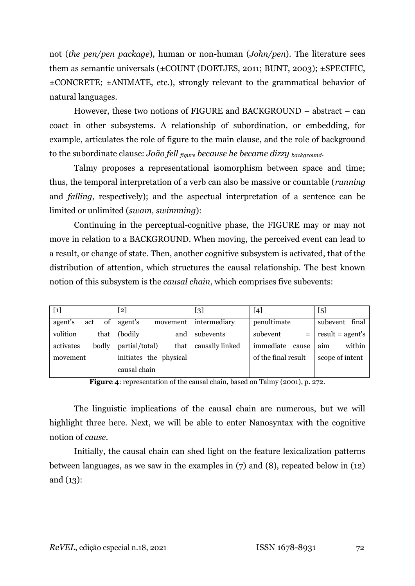not (*the pen/pen package*), human or non-human (*John/pen*). The literature sees them as semantic universals  $(\pm \text{COUNT}$  (DOETJES, 2011; BUNT, 2003);  $\pm$ SPECIFIC, ±CONCRETE; ±ANIMATE, etc.), strongly relevant to the grammatical behavior of natural languages.

However, these two notions of FIGURE and BACKGROUND – abstract – can coact in other subsystems. A relationship of subordination, or embedding, for example, articulates the role of figure to the main clause, and the role of background to the subordinate clause: *João fell figure because he became dizzy background*.

Talmy proposes a representational isomorphism between space and time; thus, the temporal interpretation of a verb can also be massive or countable (*running* and *falling*, respectively); and the aspectual interpretation of a sentence can be limited or unlimited (*swam, swimming*):

Continuing in the perceptual-cognitive phase, the FIGURE may or may not move in relation to a BACKGROUND. When moving, the perceived event can lead to a result, or change of state. Then, another cognitive subsystem is activated, that of the distribution of attention, which structures the causal relationship. The best known notion of this subsystem is the *causal chain*, which comprises five subevents:

| $[1]$                | $\left[ 2\right]$      | [3]             | $[4]$               | $[5]$              |
|----------------------|------------------------|-----------------|---------------------|--------------------|
| of<br>agent's<br>act | agent's<br>movement    | intermediary    | penultimate         | final<br>subevent  |
| volition<br>that     | (bodily)<br>and        | subevents       | subevent<br>$=$     | $result = agent's$ |
| activates<br>bodly   | partial/total)<br>that | causally linked | immediate<br>cause  | aim<br>within      |
| movement             | initiates the physical |                 | of the final result | scope of intent    |
|                      | causal chain           |                 |                     |                    |

**Figure 4**: representation of the causal chain, based on Talmy (2001), p. 272.

The linguistic implications of the causal chain are numerous, but we will highlight three here. Next, we will be able to enter Nanosyntax with the cognitive notion of *cause*.

Initially, the causal chain can shed light on the feature lexicalization patterns between languages, as we saw in the examples in (7) and (8), repeated below in (12) and (13):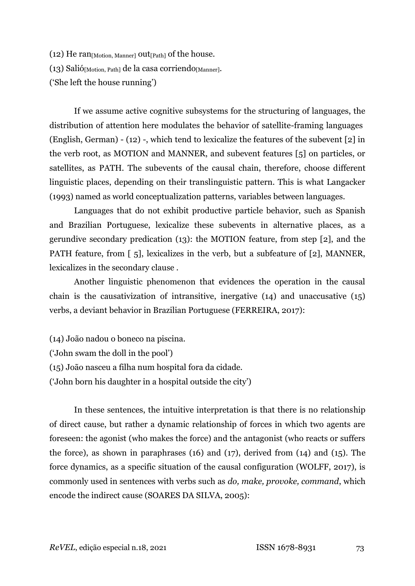(12) He  $ran<sub>[Motion, Manner]</sub> out<sub>[Path]</sub> of the house.$ (13) Salió[Motion, Path] de la casa corriendo[Manner]. ('She left the house running')

If we assume active cognitive subsystems for the structuring of languages, the distribution of attention here modulates the behavior of satellite-framing languages (English, German) - (12) -, which tend to lexicalize the features of the subevent [2] in the verb root, as MOTION and MANNER, and subevent features [5] on particles, or satellites, as PATH. The subevents of the causal chain, therefore, choose different linguistic places, depending on their translinguistic pattern. This is what Langacker (1993) named as world conceptualization patterns, variables between languages.

Languages that do not exhibit productive particle behavior, such as Spanish and Brazilian Portuguese, lexicalize these subevents in alternative places, as a gerundive secondary predication (13): the MOTION feature, from step [2], and the PATH feature, from [5], lexicalizes in the verb, but a subfeature of [2], MANNER, lexicalizes in the secondary clause .

Another linguistic phenomenon that evidences the operation in the causal chain is the causativization of intransitive, inergative (14) and unaccusative (15) verbs, a deviant behavior in Brazilian Portuguese (FERREIRA, 2017):

(14) João nadou o boneco na piscina. ('John swam the doll in the pool') (15) João nasceu a filha num hospital fora da cidade.

('John born his daughter in a hospital outside the city')

In these sentences, the intuitive interpretation is that there is no relationship of direct cause, but rather a dynamic relationship of forces in which two agents are foreseen: the agonist (who makes the force) and the antagonist (who reacts or suffers the force), as shown in paraphrases (16) and (17), derived from (14) and (15). The force dynamics, as a specific situation of the causal configuration (WOLFF, 2017), is commonly used in sentences with verbs such as *do, make, provoke, command*, which encode the indirect cause (SOARES DA SILVA, 2005):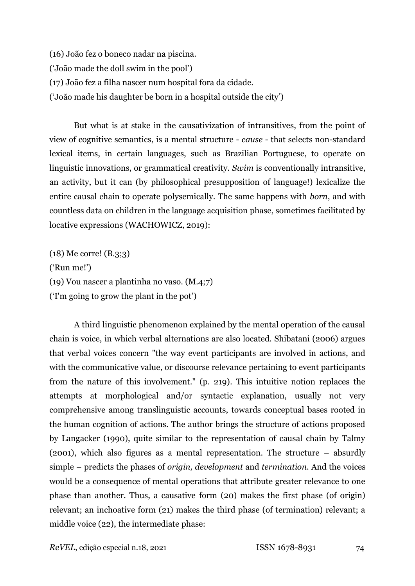(16) João fez o boneco nadar na piscina. ('João made the doll swim in the pool') (17) João fez a filha nascer num hospital fora da cidade. ('João made his daughter be born in a hospital outside the city')

But what is at stake in the causativization of intransitives, from the point of view of cognitive semantics, is a mental structure - *cause* - that selects non-standard lexical items, in certain languages, such as Brazilian Portuguese, to operate on linguistic innovations, or grammatical creativity. *Swim* is conventionally intransitive, an activity, but it can (by philosophical presupposition of language!) lexicalize the entire causal chain to operate polysemically. The same happens with *born*, and with countless data on children in the language acquisition phase, sometimes facilitated by locative expressions (WACHOWICZ, 2019):

(18) Me corre! (B.3;3) ('Run me!') (19) Vou nascer a plantinha no vaso. (M.4;7) ('I'm going to grow the plant in the pot')

A third linguistic phenomenon explained by the mental operation of the causal chain is voice, in which verbal alternations are also located. Shibatani (2006) argues that verbal voices concern "the way event participants are involved in actions, and with the communicative value, or discourse relevance pertaining to event participants from the nature of this involvement." (p. 219). This intuitive notion replaces the attempts at morphological and/or syntactic explanation, usually not very comprehensive among translinguistic accounts, towards conceptual bases rooted in the human cognition of actions. The author brings the structure of actions proposed by Langacker (1990), quite similar to the representation of causal chain by Talmy (2001), which also figures as a mental representation. The structure – absurdly simple – predicts the phases of *origin, development* and *termination*. And the voices would be a consequence of mental operations that attribute greater relevance to one phase than another. Thus, a causative form (20) makes the first phase (of origin) relevant; an inchoative form (21) makes the third phase (of termination) relevant; a middle voice (22), the intermediate phase: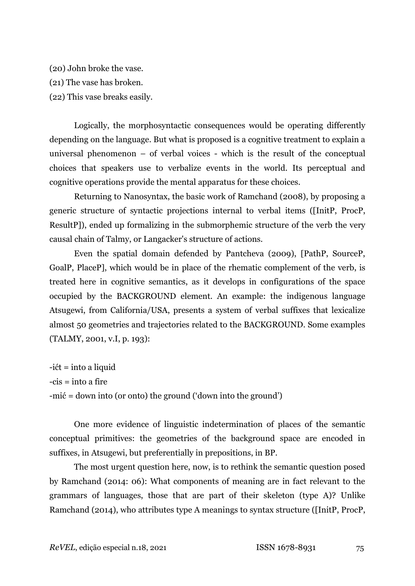(20) John broke the vase.

(21) The vase has broken.

(22) This vase breaks easily.

Logically, the morphosyntactic consequences would be operating differently depending on the language. But what is proposed is a cognitive treatment to explain a universal phenomenon – of verbal voices - which is the result of the conceptual choices that speakers use to verbalize events in the world. Its perceptual and cognitive operations provide the mental apparatus for these choices.

Returning to Nanosyntax, the basic work of Ramchand (2008), by proposing a generic structure of syntactic projections internal to verbal items ([InitP, ProcP, ResultP]), ended up formalizing in the submorphemic structure of the verb the very causal chain of Talmy, or Langacker's structure of actions.

Even the spatial domain defended by Pantcheva (2009), [PathP, SourceP, GoalP, PlaceP], which would be in place of the rhematic complement of the verb, is treated here in cognitive semantics, as it develops in configurations of the space occupied by the BACKGROUND element. An example: the indigenous language Atsugewi, from California/USA, presents a system of verbal suffixes that lexicalize almost 50 geometries and trajectories related to the BACKGROUND. Some examples (TALMY, 2001, v.I, p. 193):

-ićt = into a liquid  $-cis = into a fire$ -mić = down into (or onto) the ground ('down into the ground')

One more evidence of linguistic indetermination of places of the semantic conceptual primitives: the geometries of the background space are encoded in suffixes, in Atsugewi, but preferentially in prepositions, in BP.

The most urgent question here, now, is to rethink the semantic question posed by Ramchand (2014: 06): What components of meaning are in fact relevant to the grammars of languages, those that are part of their skeleton (type A)? Unlike Ramchand (2014), who attributes type A meanings to syntax structure ([InitP, ProcP,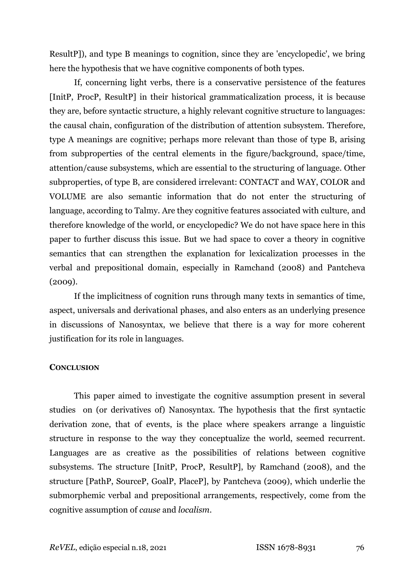ResultP]), and type B meanings to cognition, since they are 'encyclopedic', we bring here the hypothesis that we have cognitive components of both types.

If, concerning light verbs, there is a conservative persistence of the features [InitP, ProcP, ResultP] in their historical grammaticalization process, it is because they are, before syntactic structure, a highly relevant cognitive structure to languages: the causal chain, configuration of the distribution of attention subsystem. Therefore, type A meanings are cognitive; perhaps more relevant than those of type B, arising from subproperties of the central elements in the figure/background, space/time, attention/cause subsystems, which are essential to the structuring of language. Other subproperties, of type B, are considered irrelevant: CONTACT and WAY, COLOR and VOLUME are also semantic information that do not enter the structuring of language, according to Talmy. Are they cognitive features associated with culture, and therefore knowledge of the world, or encyclopedic? We do not have space here in this paper to further discuss this issue. But we had space to cover a theory in cognitive semantics that can strengthen the explanation for lexicalization processes in the verbal and prepositional domain, especially in Ramchand (2008) and Pantcheva (2009).

If the implicitness of cognition runs through many texts in semantics of time, aspect, universals and derivational phases, and also enters as an underlying presence in discussions of Nanosyntax, we believe that there is a way for more coherent justification for its role in languages.

# **CONCLUSION**

This paper aimed to investigate the cognitive assumption present in several studies on (or derivatives of) Nanosyntax. The hypothesis that the first syntactic derivation zone, that of events, is the place where speakers arrange a linguistic structure in response to the way they conceptualize the world, seemed recurrent. Languages are as creative as the possibilities of relations between cognitive subsystems. The structure [InitP, ProcP, ResultP], by Ramchand (2008), and the structure [PathP, SourceP, GoalP, PlaceP], by Pantcheva (2009), which underlie the submorphemic verbal and prepositional arrangements, respectively, come from the cognitive assumption of *cause* and *localism*.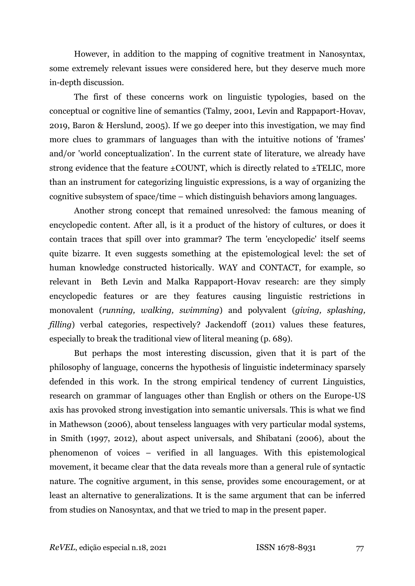However, in addition to the mapping of cognitive treatment in Nanosyntax, some extremely relevant issues were considered here, but they deserve much more in-depth discussion.

The first of these concerns work on linguistic typologies, based on the conceptual or cognitive line of semantics (Talmy, 2001, Levin and Rappaport-Hovav, 2019, Baron & Herslund, 2005). If we go deeper into this investigation, we may find more clues to grammars of languages than with the intuitive notions of 'frames' and/or 'world conceptualization'. In the current state of literature, we already have strong evidence that the feature  $\pm$ COUNT, which is directly related to  $\pm$ TELIC, more than an instrument for categorizing linguistic expressions, is a way of organizing the cognitive subsystem of space/time – which distinguish behaviors among languages.

Another strong concept that remained unresolved: the famous meaning of encyclopedic content. After all, is it a product of the history of cultures, or does it contain traces that spill over into grammar? The term 'encyclopedic' itself seems quite bizarre. It even suggests something at the epistemological level: the set of human knowledge constructed historically. WAY and CONTACT, for example, so relevant in Beth Levin and Malka Rappaport-Hovav research: are they simply encyclopedic features or are they features causing linguistic restrictions in monovalent (*running, walking, swimming*) and polyvalent (*giving, splashing, filling*) verbal categories, respectively? Jackendoff (2011) values these features, especially to break the traditional view of literal meaning (p. 689).

But perhaps the most interesting discussion, given that it is part of the philosophy of language, concerns the hypothesis of linguistic indeterminacy sparsely defended in this work. In the strong empirical tendency of current Linguistics, research on grammar of languages other than English or others on the Europe-US axis has provoked strong investigation into semantic universals. This is what we find in Mathewson (2006), about tenseless languages with very particular modal systems, in Smith (1997, 2012), about aspect universals, and Shibatani (2006), about the phenomenon of voices – verified in all languages. With this epistemological movement, it became clear that the data reveals more than a general rule of syntactic nature. The cognitive argument, in this sense, provides some encouragement, or at least an alternative to generalizations. It is the same argument that can be inferred from studies on Nanosyntax, and that we tried to map in the present paper.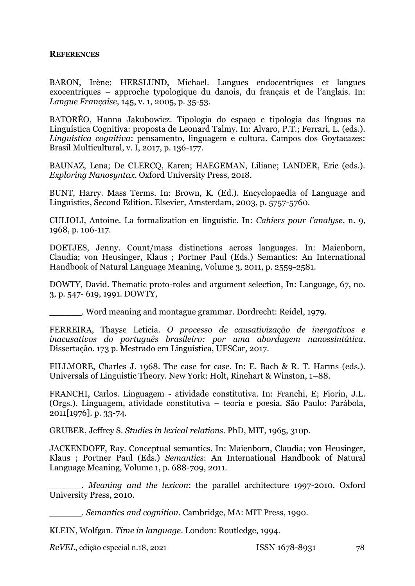## **REFERENCES**

BARON, Irène; HERSLUND, Michael. Langues endocentriques et langues exocentriques – approche typologique du danois, du français et de l'anglais. In: *Langue Française*, 145, v. 1, 2005, p. 35-53.

BATORÉO, Hanna Jakubowicz. Tipologia do espaço e tipologia das línguas na Linguística Cognitiva: proposta de Leonard Talmy. In: Alvaro, P.T.; Ferrari, L. (eds.). *Linguística cognitiva*: pensamento, linguagem e cultura. Campos dos Goytacazes: Brasil Multicultural, v. I, 2017, p. 136-177.

BAUNAZ, Lena; De CLERCQ, Karen; HAEGEMAN, Liliane; LANDER, Eric (eds.). *Exploring Nanosyntax*. Oxford University Press, 2018.

BUNT, Harry. Mass Terms. In: Brown, K. (Ed.). Encyclopaedia of Language and Linguistics, Second Edition. Elsevier, Amsterdam, 2003, p. 5757-5760.

CULIOLI, Antoine. La formalization en linguistic. In: *Cahiers pour l'analyse*, n. 9, 1968, p. 106-117.

DOETJES, Jenny. Count/mass distinctions across languages. In: Maienborn, Claudia; von Heusinger, Klaus ; Portner Paul (Eds.) Semantics: An International Handbook of Natural Language Meaning, Volume 3, 2011, p. 2559-2581.

DOWTY, David. Thematic proto-roles and argument selection, In: Language, 67, no. 3, p. 547- 619, 1991. DOWTY,

\_\_\_\_\_\_. Word meaning and montague grammar. Dordrecht: Reidel, 1979.

FERREIRA, Thayse Letícia. *O processo de causativização de inergativos e inacusativos do português brasileiro: por uma abordagem nanossintática*. Dissertação. 173 p. Mestrado em Linguística, UFSCar, 2017.

FILLMORE, Charles J. 1968. The case for case. In: E. Bach & R. T. Harms (eds.). Universals of Linguistic Theory. New York: Holt, Rinehart & Winston, 1–88.

FRANCHI, Carlos. Linguagem - atividade constitutiva. In: Franchi, E; Fiorin, J.L. (Orgs.). Linguagem, atividade constitutiva – teoria e poesia. São Paulo: Parábola, 2011[1976]. p. 33-74.

GRUBER, Jeffrey S. *Studies in lexical relations*. PhD, MIT, 1965, 310p.

JACKENDOFF, Ray. Conceptual semantics. In: Maienborn, Claudia; von Heusinger, Klaus ; Portner Paul (Eds.) *Semantics*: An International Handbook of Natural Language Meaning, Volume 1, p. 688-709, 2011.

\_\_\_\_\_\_. *Meaning and the lexicon*: the parallel architecture 1997-2010. Oxford University Press, 2010.

\_\_\_\_\_\_. *Semantics and cognition*. Cambridge, MA: MIT Press, 1990.

KLEIN, Wolfgan. *Time in language*. London: Routledge, 1994.

*ReVEL*, edição especial n.18, 2021 ISSN 1678-8931 78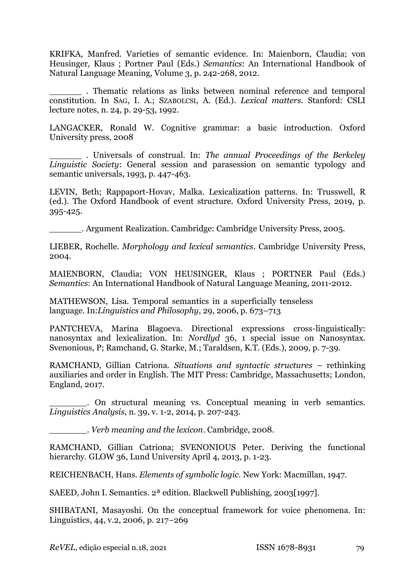KRIFKA, Manfred. Varieties of semantic evidence. In: Maienborn, Claudia; von Heusinger, Klaus ; Portner Paul (Eds.) *Semantics*: An International Handbook of Natural Language Meaning, Volume 3, p. 242-268, 2012.

\_\_\_\_\_\_ . Thematic relations as links between nominal reference and temporal constitution. In SAG, I. A.; SZABOLCSI, A. (Ed.). *Lexical matters*. Stanford: CSLI lecture notes, n. 24, p. 29-53, 1992.

LANGACKER, Ronald W. Cognitive grammar: a basic introduction. Oxford University press, 2008

\_\_\_\_\_\_ . Universals of construal. In: *The annual Proceedings of the Berkeley Linguistic Society*: General session and parasession on semantic typology and semantic universals, 1993, p. 447-463.

LEVIN, Beth; Rappaport-Hovav, Malka. Lexicalization patterns. In: Trusswell, R (ed.). The Oxford Handbook of event structure. Oxford University Press, 2019, p. 395-425.

\_\_\_\_\_\_. Argument Realization. Cambridge: Cambridge University Press, 2005.

LIEBER, Rochelle. *Morphology and lexical semantics*. Cambridge University Press, 2004.

MAIENBORN, Claudia; VON HEUSINGER, Klaus ; PORTNER Paul (Eds.) *Semantics*: An International Handbook of Natural Language Meaning, 2011-2012.

MATHEWSON, Lisa. [Temporal semantics in a superficially tenseless](https://link.springer.com/article/10.1007%252Fs10988-006-9010-6)  [language.](https://link.springer.com/article/10.1007%252Fs10988-006-9010-6) In:*Linguistics and Philosophy*, 29, 2006, p. 673–713

PANTCHEVA, Marina Blagoeva. Directional expressions cross-linguistically: nanosyntax and lexicalization. In: *Nordlyd* 36, 1 special issue on Nanosyntax. Svenonious, P; Ramchand, G. Starke, M.; Taraldsen, K.T. (Eds.), 2009, p. 7-39.

RAMCHAND, Gillian Catriona. *Situations and syntactic structures* – rethinking auxiliaries and order in English. The MIT Press: Cambridge, Massachusetts; London, England, 2017.

. On structural meaning vs. Conceptual meaning in verb semantics. *Linguistics Analysis*, n. 39, v. 1-2, 2014, p. 207-243.

\_\_\_\_\_\_\_. *Verb meaning and the lexicon*. Cambridge, 2008.

RAMCHAND, Gillian Catriona; SVENONIOUS Peter. Deriving the functional hierarchy. GLOW 36, Lund University April 4, 2013, p. 1-23.

REICHENBACH, Hans. *Elements of symbolic logic*. New York: Macmillan, 1947.

SAEED, John I. Semantics. 2ª edition. Blackwell Publishing, 2003[1997].

SHIBATANI, Masayoshi. On the conceptual framework for voice phenomena. In: Linguistics, 44, v.2, 2006, p. 217–269